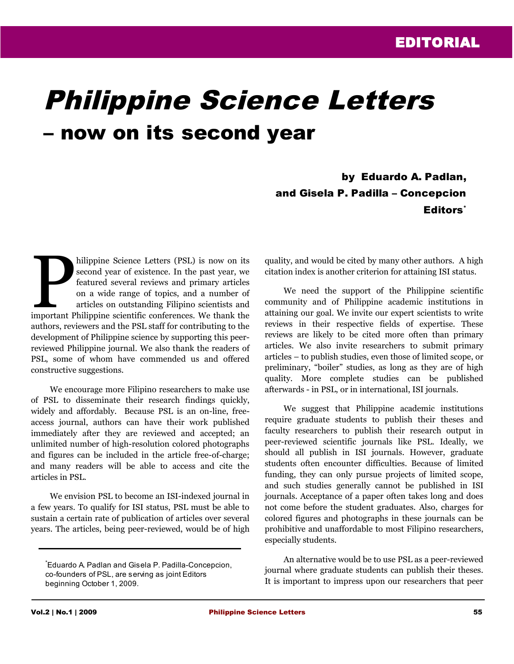## Philippine Science Letters – now on its second year

by Eduardo A. Padlan, and Gisela P. Padilla – Concepcion Editors<sup>\*</sup>

hilippine Science Letters (PSL) is now on its second year of existence. In the past year, we featured several reviews and primary articles on a wide range of topics, and a number of articles on outstanding Filipino scientists and hilippine Science Letters (PSL) is now on its second year of existence. In the past year, we featured several reviews and primary articles on a wide range of topics, and a number of articles on outstanding Filipino scienti authors, reviewers and the PSL staff for contributing to the development of Philippine science by supporting this peerreviewed Philippine journal. We also thank the readers of PSL, some of whom have commended us and offered constructive suggestions.

We encourage more Filipino researchers to make use of PSL to disseminate their research findings quickly, widely and affordably. Because PSL is an on-line, freeaccess journal, authors can have their work published immediately after they are reviewed and accepted; an unlimited number of high-resolution colored photographs and figures can be included in the article free-of-charge; and many readers will be able to access and cite the articles in PSL.

We envision PSL to become an ISI-indexed journal in a few years. To qualify for ISI status, PSL must be able to sustain a certain rate of publication of articles over several years. The articles, being peer-reviewed, would be of high quality, and would be cited by many other authors. A high citation index is another criterion for attaining ISI status.

We need the support of the Philippine scientific community and of Philippine academic institutions in attaining our goal. We invite our expert scientists to write reviews in their respective fields of expertise. These reviews are likely to be cited more often than primary articles. We also invite researchers to submit primary articles – to publish studies, even those of limited scope, or preliminary, "boiler" studies, as long as they are of high quality. More complete studies can be published afterwards - in PSL, or in international, ISI journals.

We suggest that Philippine academic institutions require graduate students to publish their theses and faculty researchers to publish their research output in peer-reviewed scientific journals like PSL. Ideally, we should all publish in ISI journals. However, graduate students often encounter difficulties. Because of limited funding, they can only pursue projects of limited scope, and such studies generally cannot be published in ISI journals. Acceptance of a paper often takes long and does not come before the student graduates. Also, charges for colored figures and photographs in these journals can be prohibitive and unaffordable to most Filipino researchers, especially students.

An alternative would be to use PSL as a peer-reviewed journal where graduate students can publish their theses. It is important to impress upon our researchers that peer

<sup>\*</sup>Eduardo A. Padlan and Gisela P. Padilla-Concepcion, co-founders of PSL, are serving as joint Editors beginning October 1, 2009.